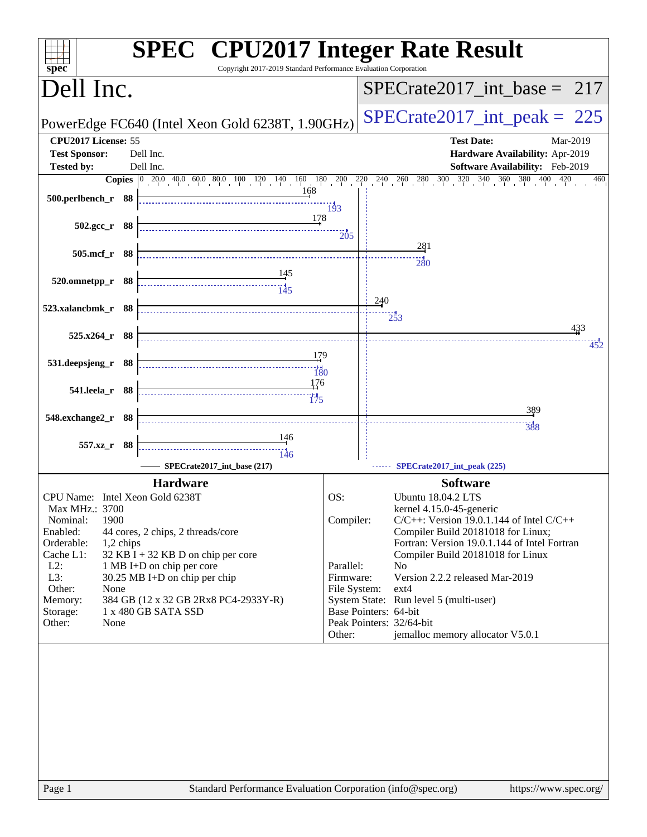| Copyright 2017-2019 Standard Performance Evaluation Corporation<br>spec <sup>®</sup>     | <b>SPEC<sup>®</sup></b> CPU2017 Integer Rate Result                                                                                                                                |
|------------------------------------------------------------------------------------------|------------------------------------------------------------------------------------------------------------------------------------------------------------------------------------|
| Dell Inc.                                                                                | $SPECrate2017\_int\_base = 217$                                                                                                                                                    |
| PowerEdge FC640 (Intel Xeon Gold 6238T, 1.90GHz)                                         | $SPECrate2017\_int\_peak = 225$                                                                                                                                                    |
| CPU2017 License: 55<br><b>Test Sponsor:</b><br>Dell Inc.                                 | <b>Test Date:</b><br>Mar-2019<br>Hardware Availability: Apr-2019                                                                                                                   |
| Dell Inc.<br><b>Tested by:</b>                                                           | Software Availability: Feb-2019                                                                                                                                                    |
|                                                                                          | <b>Copies</b> $\begin{bmatrix} 0 & 20.0 & 40.0 & 60.0 & 80.0 & 100 & 120 & 140 & 160 & 180 & 200 & 220 & 240 & 260 & 280 & 300 & 320 & 340 & 360 & 400 & 420 \end{bmatrix}$<br>460 |
| 168<br>500.perlbench_r 88                                                                | 193                                                                                                                                                                                |
| 178<br>$502.\text{gcc r}$ 88                                                             | 205                                                                                                                                                                                |
| 505.mcf_r 88                                                                             | 281                                                                                                                                                                                |
|                                                                                          | 280                                                                                                                                                                                |
| 520.omnetpp_r 88                                                                         |                                                                                                                                                                                    |
| 523.xalancbmk_r 88                                                                       | 240<br>$2\overline{5}3$                                                                                                                                                            |
| $525.x264$ r 88                                                                          | 433<br>452                                                                                                                                                                         |
| 179<br>531.deepsjeng_r 88<br>180                                                         |                                                                                                                                                                                    |
| 176<br>541.leela_r 88                                                                    |                                                                                                                                                                                    |
| 548.exchange2_r 88                                                                       | 389                                                                                                                                                                                |
|                                                                                          | 388                                                                                                                                                                                |
| 557.xz_r 88<br>146                                                                       |                                                                                                                                                                                    |
| SPECrate2017_int_base (217)                                                              | SPECrate2017_int_peak (225)                                                                                                                                                        |
| <b>Hardware</b>                                                                          | <b>Software</b>                                                                                                                                                                    |
| CPU Name: Intel Xeon Gold 6238T<br>Max MHz.: 3700                                        | OS:<br>Ubuntu 18.04.2 LTS<br>kernel 4.15.0-45-generic                                                                                                                              |
| 1900<br>Nominal:                                                                         | Compiler:<br>$C/C++$ : Version 19.0.1.144 of Intel $C/C++$                                                                                                                         |
| Enabled:<br>44 cores, 2 chips, 2 threads/core                                            | Compiler Build 20181018 for Linux;                                                                                                                                                 |
| Orderable:<br>1,2 chips                                                                  | Fortran: Version 19.0.1.144 of Intel Fortran                                                                                                                                       |
| Cache L1:<br>$32$ KB I + 32 KB D on chip per core<br>$L2$ :<br>1 MB I+D on chip per core | Compiler Build 20181018 for Linux<br>Parallel:<br>N <sub>0</sub>                                                                                                                   |
| L3:<br>$30.25$ MB I+D on chip per chip                                                   | Version 2.2.2 released Mar-2019<br>Firmware:                                                                                                                                       |
| Other:<br>None                                                                           | File System:<br>ext4                                                                                                                                                               |
| 384 GB (12 x 32 GB 2Rx8 PC4-2933Y-R)<br>Memory:                                          | System State: Run level 5 (multi-user)                                                                                                                                             |
| 1 x 480 GB SATA SSD<br>Storage:<br>Other:<br>None                                        | Base Pointers: 64-bit<br>Peak Pointers: 32/64-bit                                                                                                                                  |
|                                                                                          | jemalloc memory allocator V5.0.1<br>Other:                                                                                                                                         |
|                                                                                          |                                                                                                                                                                                    |
| Standard Performance Evaluation Corporation (info@spec.org)<br>Page 1                    | https://www.spec.org/                                                                                                                                                              |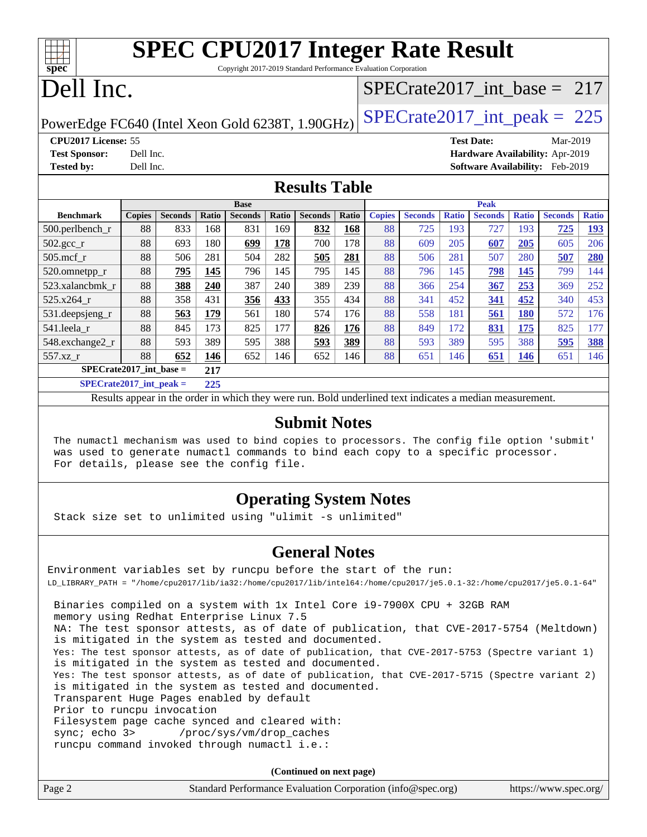# **[spec](http://www.spec.org/)**

# **[SPEC CPU2017 Integer Rate Result](http://www.spec.org/auto/cpu2017/Docs/result-fields.html#SPECCPU2017IntegerRateResult)**

Copyright 2017-2019 Standard Performance Evaluation Corporation

# Dell Inc.

## [SPECrate2017\\_int\\_base =](http://www.spec.org/auto/cpu2017/Docs/result-fields.html#SPECrate2017intbase) 217

PowerEdge FC640 (Intel Xeon Gold 6238T, 1.90GHz)  $\text{SPECrate}2017\_int\_peak = 225$ 

**[CPU2017 License:](http://www.spec.org/auto/cpu2017/Docs/result-fields.html#CPU2017License)** 55 **[Test Date:](http://www.spec.org/auto/cpu2017/Docs/result-fields.html#TestDate)** Mar-2019

**[Test Sponsor:](http://www.spec.org/auto/cpu2017/Docs/result-fields.html#TestSponsor)** Dell Inc. **[Hardware Availability:](http://www.spec.org/auto/cpu2017/Docs/result-fields.html#HardwareAvailability)** Apr-2019 **[Tested by:](http://www.spec.org/auto/cpu2017/Docs/result-fields.html#Testedby)** Dell Inc. **[Software Availability:](http://www.spec.org/auto/cpu2017/Docs/result-fields.html#SoftwareAvailability)** Feb-2019

#### **[Results Table](http://www.spec.org/auto/cpu2017/Docs/result-fields.html#ResultsTable)**

|                                  | <b>Base</b>   |                |       |                |       | <b>Peak</b>    |       |               |                |              |                |              |                |              |
|----------------------------------|---------------|----------------|-------|----------------|-------|----------------|-------|---------------|----------------|--------------|----------------|--------------|----------------|--------------|
| <b>Benchmark</b>                 | <b>Copies</b> | <b>Seconds</b> | Ratio | <b>Seconds</b> | Ratio | <b>Seconds</b> | Ratio | <b>Copies</b> | <b>Seconds</b> | <b>Ratio</b> | <b>Seconds</b> | <b>Ratio</b> | <b>Seconds</b> | <b>Ratio</b> |
| 500.perlbench_r                  | 88            | 833            | 168   | 831            | 169   | 832            | 168   | 88            | 725            | 193          | 727            | 193          | 725            | <u>193</u>   |
| $502.\text{gcc}$ _r              | 88            | 693            | 180   | 699            | 178   | 700            | 178   | 88            | 609            | 205          | 607            | 205          | 605            | 206          |
| $505$ .mcf r                     | 88            | 506            | 281   | 504            | 282   | 505            | 281   | 88            | 506            | 281          | 507            | 280          | 507            | 280          |
| 520.omnetpp_r                    | 88            | 795            | 145   | 796            | 145   | 795            | 145   | 88            | 796            | 145          | 798            | 145          | 799            | 144          |
| 523.xalancbmk r                  | 88            | 388            | 240   | 387            | 240   | 389            | 239   | 88            | 366            | 254          | 367            | 253          | 369            | 252          |
| 525.x264 r                       | 88            | 358            | 431   | 356            | 433   | 355            | 434   | 88            | 341            | 452          | 341            | 452          | 340            | 453          |
| 531.deepsjeng_r                  | 88            | 563            | 179   | 561            | 180   | 574            | 176   | 88            | 558            | 181          | 561            | <b>180</b>   | 572            | 176          |
| 541.leela r                      | 88            | 845            | 173   | 825            | 177   | 826            | 176   | 88            | 849            | 172          | 831            | 175          | 825            | 177          |
| 548.exchange2_r                  | 88            | 593            | 389   | 595            | 388   | 593            | 389   | 88            | 593            | 389          | 595            | 388          | 595            | 388          |
| 557.xz                           | 88            | 652            | 146   | 652            | 146   | 652            | 146   | 88            | 651            | 146          | 651            | <u>146</u>   | 651            | 146          |
| $SPECrate2017$ int base =<br>217 |               |                |       |                |       |                |       |               |                |              |                |              |                |              |
| $SPECrate2017\_int\_peak =$      |               |                | 225   |                |       |                |       |               |                |              |                |              |                |              |

Results appear in the [order in which they were run](http://www.spec.org/auto/cpu2017/Docs/result-fields.html#RunOrder). Bold underlined text [indicates a median measurement](http://www.spec.org/auto/cpu2017/Docs/result-fields.html#Median).

#### **[Submit Notes](http://www.spec.org/auto/cpu2017/Docs/result-fields.html#SubmitNotes)**

 The numactl mechanism was used to bind copies to processors. The config file option 'submit' was used to generate numactl commands to bind each copy to a specific processor. For details, please see the config file.

### **[Operating System Notes](http://www.spec.org/auto/cpu2017/Docs/result-fields.html#OperatingSystemNotes)**

Stack size set to unlimited using "ulimit -s unlimited"

#### **[General Notes](http://www.spec.org/auto/cpu2017/Docs/result-fields.html#GeneralNotes)**

Environment variables set by runcpu before the start of the run: LD\_LIBRARY\_PATH = "/home/cpu2017/lib/ia32:/home/cpu2017/lib/intel64:/home/cpu2017/je5.0.1-32:/home/cpu2017/je5.0.1-64" Binaries compiled on a system with 1x Intel Core i9-7900X CPU + 32GB RAM memory using Redhat Enterprise Linux 7.5 NA: The test sponsor attests, as of date of publication, that CVE-2017-5754 (Meltdown) is mitigated in the system as tested and documented. Yes: The test sponsor attests, as of date of publication, that CVE-2017-5753 (Spectre variant 1) is mitigated in the system as tested and documented. Yes: The test sponsor attests, as of date of publication, that CVE-2017-5715 (Spectre variant 2) is mitigated in the system as tested and documented. Transparent Huge Pages enabled by default Prior to runcpu invocation Filesystem page cache synced and cleared with: sync; echo 3> /proc/sys/vm/drop\_caches runcpu command invoked through numactl i.e.:

**(Continued on next page)**

| Page 2 | Standard Performance Evaluation Corporation (info@spec.org) | https://www.spec.org/ |
|--------|-------------------------------------------------------------|-----------------------|
|--------|-------------------------------------------------------------|-----------------------|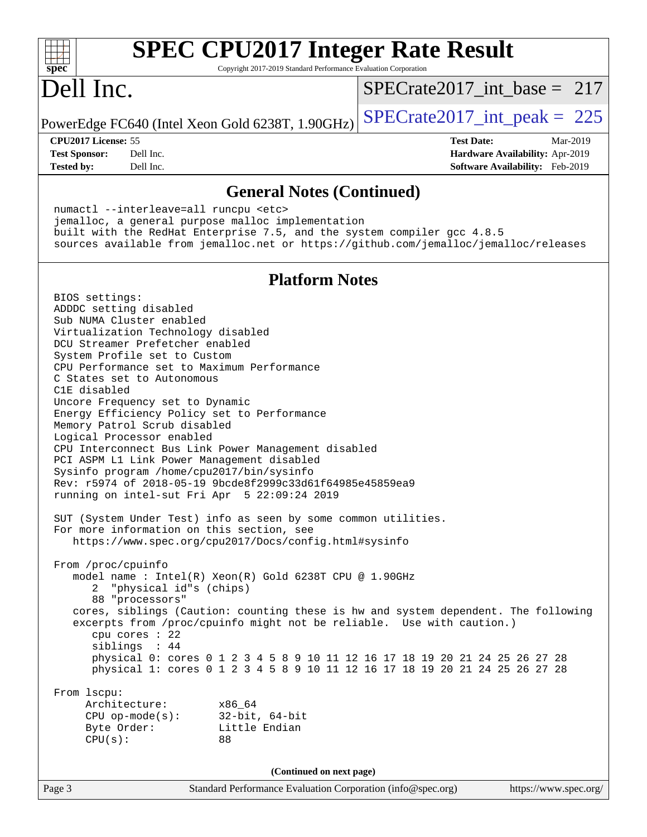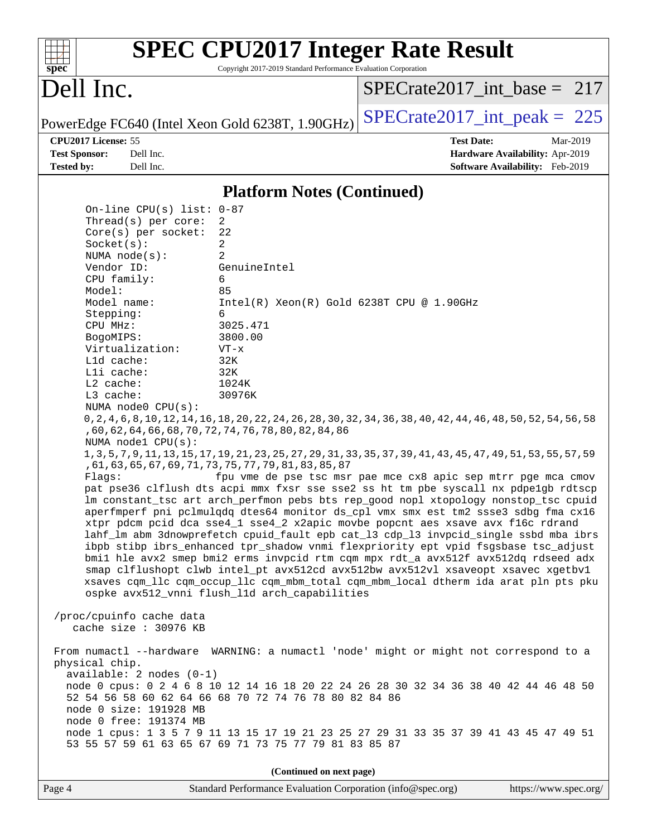

Page 4 Standard Performance Evaluation Corporation [\(info@spec.org\)](mailto:info@spec.org) <https://www.spec.org/>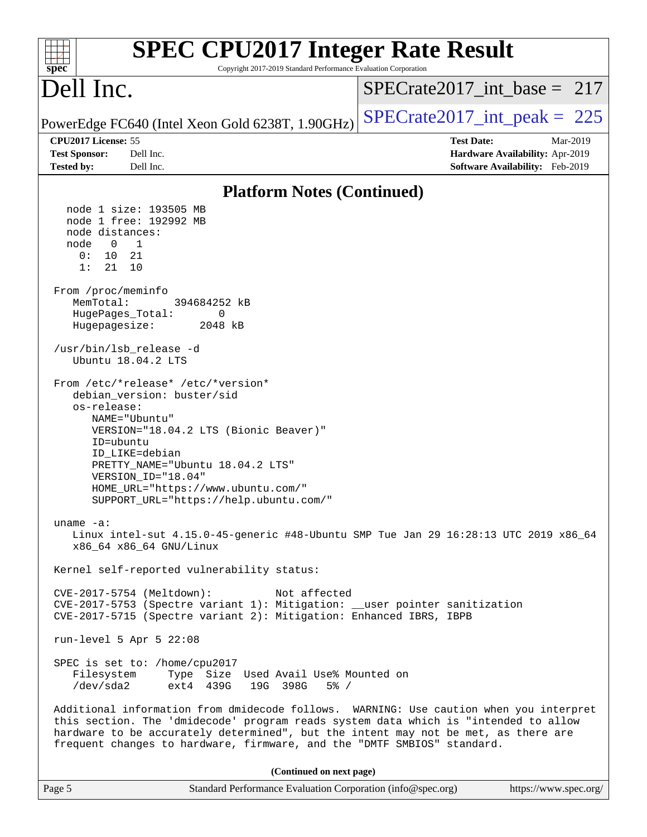| <b>SPEC CPU2017 Integer Rate Result</b><br>Copyright 2017-2019 Standard Performance Evaluation Corporation<br>spec <sup>®</sup>                                                                                                                                                                                                                |                                                                                                     |
|------------------------------------------------------------------------------------------------------------------------------------------------------------------------------------------------------------------------------------------------------------------------------------------------------------------------------------------------|-----------------------------------------------------------------------------------------------------|
| Dell Inc.                                                                                                                                                                                                                                                                                                                                      | $SPECrate2017$ int base = 217                                                                       |
| PowerEdge FC640 (Intel Xeon Gold 6238T, 1.90GHz)                                                                                                                                                                                                                                                                                               | $SPECrate2017\_int\_peak = 225$                                                                     |
| CPU2017 License: 55<br><b>Test Sponsor:</b><br>Dell Inc.<br><b>Tested by:</b><br>Dell Inc.                                                                                                                                                                                                                                                     | <b>Test Date:</b><br>Mar-2019<br>Hardware Availability: Apr-2019<br>Software Availability: Feb-2019 |
| <b>Platform Notes (Continued)</b>                                                                                                                                                                                                                                                                                                              |                                                                                                     |
| node 1 size: 193505 MB<br>node 1 free: 192992 MB<br>node distances:<br>$\overline{0}$<br>$\mathbf{1}$<br>node<br>0:<br>10 21<br>1:<br>21<br>10<br>From /proc/meminfo<br>MemTotal:<br>394684252 kB<br>HugePages_Total:<br>0                                                                                                                     |                                                                                                     |
| Hugepagesize:<br>2048 kB<br>/usr/bin/lsb_release -d<br>Ubuntu 18.04.2 LTS                                                                                                                                                                                                                                                                      |                                                                                                     |
| From /etc/*release* /etc/*version*<br>debian_version: buster/sid<br>os-release:<br>NAME="Ubuntu"<br>VERSION="18.04.2 LTS (Bionic Beaver)"<br>ID=ubuntu<br>ID LIKE=debian<br>PRETTY_NAME="Ubuntu 18.04.2 LTS"<br>VERSION ID="18.04"<br>HOME_URL="https://www.ubuntu.com/"<br>SUPPORT_URL="https://help.ubuntu.com/"                             |                                                                                                     |
| uname $-a$ :<br>Linux intel-sut 4.15.0-45-generic #48-Ubuntu SMP Tue Jan 29 16:28:13 UTC 2019 x86_64<br>x86 64 x86 64 GNU/Linux                                                                                                                                                                                                                |                                                                                                     |
| Kernel self-reported vulnerability status:                                                                                                                                                                                                                                                                                                     |                                                                                                     |
| CVE-2017-5754 (Meltdown):<br>Not affected<br>CVE-2017-5753 (Spectre variant 1): Mitigation: __user pointer sanitization<br>CVE-2017-5715 (Spectre variant 2): Mitigation: Enhanced IBRS, IBPB                                                                                                                                                  |                                                                                                     |
| run-level 5 Apr 5 22:08                                                                                                                                                                                                                                                                                                                        |                                                                                                     |
| SPEC is set to: /home/cpu2017<br>Type Size Used Avail Use% Mounted on<br>Filesystem<br>/dev/sda2<br>ext4 439G<br>19G 398G<br>$5\%$ /                                                                                                                                                                                                           |                                                                                                     |
| Additional information from dmidecode follows. WARNING: Use caution when you interpret<br>this section. The 'dmidecode' program reads system data which is "intended to allow<br>hardware to be accurately determined", but the intent may not be met, as there are<br>frequent changes to hardware, firmware, and the "DMTF SMBIOS" standard. |                                                                                                     |
| (Continued on next page)                                                                                                                                                                                                                                                                                                                       |                                                                                                     |
| Standard Performance Evaluation Corporation (info@spec.org)<br>Page 5                                                                                                                                                                                                                                                                          | https://www.spec.org/                                                                               |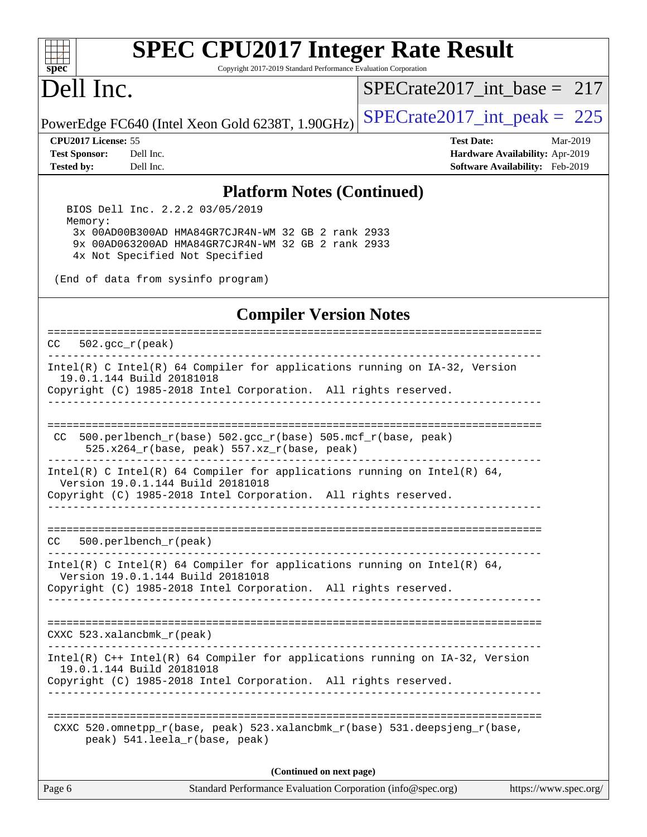

# **[SPEC CPU2017 Integer Rate Result](http://www.spec.org/auto/cpu2017/Docs/result-fields.html#SPECCPU2017IntegerRateResult)**

Copyright 2017-2019 Standard Performance Evaluation Corporation

## Dell Inc.

[SPECrate2017\\_int\\_base =](http://www.spec.org/auto/cpu2017/Docs/result-fields.html#SPECrate2017intbase) 217

PowerEdge FC640 (Intel Xeon Gold 6238T, 1.90GHz)  $\text{SPECrate2017\_int\_peak} = 225$ 

**[Tested by:](http://www.spec.org/auto/cpu2017/Docs/result-fields.html#Testedby)** Dell Inc. **[Software Availability:](http://www.spec.org/auto/cpu2017/Docs/result-fields.html#SoftwareAvailability)** Feb-2019

**[CPU2017 License:](http://www.spec.org/auto/cpu2017/Docs/result-fields.html#CPU2017License)** 55 **[Test Date:](http://www.spec.org/auto/cpu2017/Docs/result-fields.html#TestDate)** Mar-2019 **[Test Sponsor:](http://www.spec.org/auto/cpu2017/Docs/result-fields.html#TestSponsor)** Dell Inc. **[Hardware Availability:](http://www.spec.org/auto/cpu2017/Docs/result-fields.html#HardwareAvailability)** Apr-2019

#### **[Platform Notes \(Continued\)](http://www.spec.org/auto/cpu2017/Docs/result-fields.html#PlatformNotes)**

 BIOS Dell Inc. 2.2.2 03/05/2019 Memory: 3x 00AD00B300AD HMA84GR7CJR4N-WM 32 GB 2 rank 2933 9x 00AD063200AD HMA84GR7CJR4N-WM 32 GB 2 rank 2933 4x Not Specified Not Specified

(End of data from sysinfo program)

#### **[Compiler Version Notes](http://www.spec.org/auto/cpu2017/Docs/result-fields.html#CompilerVersionNotes)**

============================================================================== CC 502.gcc\_r(peak)

------------------------------------------------------------------------------ Intel(R) C Intel(R) 64 Compiler for applications running on IA-32, Version 19.0.1.144 Build 20181018 Copyright (C) 1985-2018 Intel Corporation. All rights reserved.

------------------------------------------------------------------------------

============================================================================== CC 500.perlbench\_r(base)  $502.\text{gcc_r}$ (base)  $505.\text{mcf_r}$ (base, peak) 525.x264\_r(base, peak) 557.xz\_r(base, peak)

------------------------------------------------------------------------------ Intel(R) C Intel(R) 64 Compiler for applications running on Intel(R) 64, Version 19.0.1.144 Build 20181018 Copyright (C) 1985-2018 Intel Corporation. All rights reserved.

------------------------------------------------------------------------------

============================================================================== CC 500.perlbench\_r(peak)

------------------------------------------------------------------------------ Intel(R) C Intel(R) 64 Compiler for applications running on Intel(R)  $64$ , Version 19.0.1.144 Build 20181018 Copyright (C) 1985-2018 Intel Corporation. All rights reserved.

------------------------------------------------------------------------------

==============================================================================

CXXC 523.xalancbmk\_r(peak)

------------------------------------------------------------------------------ Intel(R) C++ Intel(R) 64 Compiler for applications running on IA-32, Version 19.0.1.144 Build 20181018

Copyright (C) 1985-2018 Intel Corporation. All rights reserved. ------------------------------------------------------------------------------

============================================================================== CXXC 520.omnetpp  $r(base, peak)$  523.xalancbmk  $r(base)$  531.deepsjeng  $r(base,$ peak) 541.leela\_r(base, peak)

**(Continued on next page)**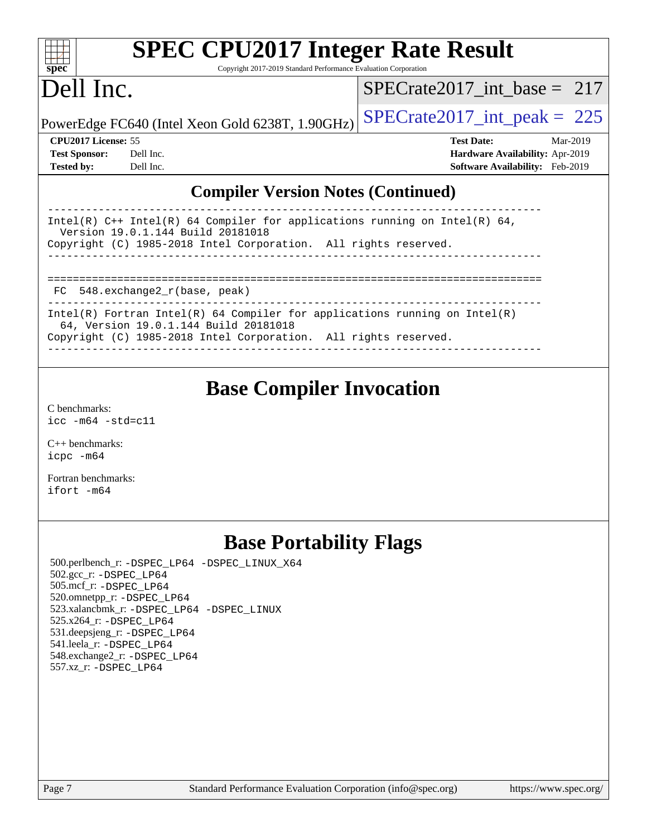| spec <sup>®</sup>                                                                                                 | <b>SPEC CPU2017 Integer Rate Result</b><br>Copyright 2017-2019 Standard Performance Evaluation Corporation |                                        |  |  |
|-------------------------------------------------------------------------------------------------------------------|------------------------------------------------------------------------------------------------------------|----------------------------------------|--|--|
| Dell Inc.                                                                                                         |                                                                                                            | SPECrate2017 int base = $217$          |  |  |
|                                                                                                                   | PowerEdge FC640 (Intel Xeon Gold 6238T, 1.90GHz)                                                           | $SPECrate2017\_int\_peak = 225$        |  |  |
| <b>CPU2017 License: 55</b>                                                                                        |                                                                                                            | <b>Test Date:</b><br>Mar-2019          |  |  |
| <b>Test Sponsor:</b>                                                                                              | Dell Inc.                                                                                                  | <b>Hardware Availability: Apr-2019</b> |  |  |
| <b>Tested by:</b>                                                                                                 | Dell Inc.                                                                                                  | <b>Software Availability:</b> Feb-2019 |  |  |
|                                                                                                                   | <b>Compiler Version Notes (Continued)</b>                                                                  |                                        |  |  |
| Intel(R) $C++$ Intel(R) 64 Compiler for applications running on Intel(R) 64,<br>Version 19.0.1.144 Build 20181018 |                                                                                                            |                                        |  |  |
| Copyright (C) 1985-2018 Intel Corporation. All rights reserved.                                                   |                                                                                                            |                                        |  |  |
|                                                                                                                   |                                                                                                            |                                        |  |  |
|                                                                                                                   |                                                                                                            |                                        |  |  |

FC 548.exchange2\_r(base, peak)

------------------------------------------------------------------------------ Intel(R) Fortran Intel(R) 64 Compiler for applications running on Intel(R) 64, Version 19.0.1.144 Build 20181018

Copyright (C) 1985-2018 Intel Corporation. All rights reserved.

------------------------------------------------------------------------------

## **[Base Compiler Invocation](http://www.spec.org/auto/cpu2017/Docs/result-fields.html#BaseCompilerInvocation)**

[C benchmarks](http://www.spec.org/auto/cpu2017/Docs/result-fields.html#Cbenchmarks): [icc -m64 -std=c11](http://www.spec.org/cpu2017/results/res2019q2/cpu2017-20190527-14526.flags.html#user_CCbase_intel_icc_64bit_c11_33ee0cdaae7deeeab2a9725423ba97205ce30f63b9926c2519791662299b76a0318f32ddfffdc46587804de3178b4f9328c46fa7c2b0cd779d7a61945c91cd35)

[C++ benchmarks:](http://www.spec.org/auto/cpu2017/Docs/result-fields.html#CXXbenchmarks) [icpc -m64](http://www.spec.org/cpu2017/results/res2019q2/cpu2017-20190527-14526.flags.html#user_CXXbase_intel_icpc_64bit_4ecb2543ae3f1412ef961e0650ca070fec7b7afdcd6ed48761b84423119d1bf6bdf5cad15b44d48e7256388bc77273b966e5eb805aefd121eb22e9299b2ec9d9)

[Fortran benchmarks](http://www.spec.org/auto/cpu2017/Docs/result-fields.html#Fortranbenchmarks): [ifort -m64](http://www.spec.org/cpu2017/results/res2019q2/cpu2017-20190527-14526.flags.html#user_FCbase_intel_ifort_64bit_24f2bb282fbaeffd6157abe4f878425411749daecae9a33200eee2bee2fe76f3b89351d69a8130dd5949958ce389cf37ff59a95e7a40d588e8d3a57e0c3fd751)

## **[Base Portability Flags](http://www.spec.org/auto/cpu2017/Docs/result-fields.html#BasePortabilityFlags)**

 500.perlbench\_r: [-DSPEC\\_LP64](http://www.spec.org/cpu2017/results/res2019q2/cpu2017-20190527-14526.flags.html#b500.perlbench_r_basePORTABILITY_DSPEC_LP64) [-DSPEC\\_LINUX\\_X64](http://www.spec.org/cpu2017/results/res2019q2/cpu2017-20190527-14526.flags.html#b500.perlbench_r_baseCPORTABILITY_DSPEC_LINUX_X64) 502.gcc\_r: [-DSPEC\\_LP64](http://www.spec.org/cpu2017/results/res2019q2/cpu2017-20190527-14526.flags.html#suite_basePORTABILITY502_gcc_r_DSPEC_LP64) 505.mcf\_r: [-DSPEC\\_LP64](http://www.spec.org/cpu2017/results/res2019q2/cpu2017-20190527-14526.flags.html#suite_basePORTABILITY505_mcf_r_DSPEC_LP64) 520.omnetpp\_r: [-DSPEC\\_LP64](http://www.spec.org/cpu2017/results/res2019q2/cpu2017-20190527-14526.flags.html#suite_basePORTABILITY520_omnetpp_r_DSPEC_LP64) 523.xalancbmk\_r: [-DSPEC\\_LP64](http://www.spec.org/cpu2017/results/res2019q2/cpu2017-20190527-14526.flags.html#suite_basePORTABILITY523_xalancbmk_r_DSPEC_LP64) [-DSPEC\\_LINUX](http://www.spec.org/cpu2017/results/res2019q2/cpu2017-20190527-14526.flags.html#b523.xalancbmk_r_baseCXXPORTABILITY_DSPEC_LINUX) 525.x264\_r: [-DSPEC\\_LP64](http://www.spec.org/cpu2017/results/res2019q2/cpu2017-20190527-14526.flags.html#suite_basePORTABILITY525_x264_r_DSPEC_LP64) 531.deepsjeng\_r: [-DSPEC\\_LP64](http://www.spec.org/cpu2017/results/res2019q2/cpu2017-20190527-14526.flags.html#suite_basePORTABILITY531_deepsjeng_r_DSPEC_LP64) 541.leela\_r: [-DSPEC\\_LP64](http://www.spec.org/cpu2017/results/res2019q2/cpu2017-20190527-14526.flags.html#suite_basePORTABILITY541_leela_r_DSPEC_LP64) 548.exchange2\_r: [-DSPEC\\_LP64](http://www.spec.org/cpu2017/results/res2019q2/cpu2017-20190527-14526.flags.html#suite_basePORTABILITY548_exchange2_r_DSPEC_LP64) 557.xz\_r: [-DSPEC\\_LP64](http://www.spec.org/cpu2017/results/res2019q2/cpu2017-20190527-14526.flags.html#suite_basePORTABILITY557_xz_r_DSPEC_LP64)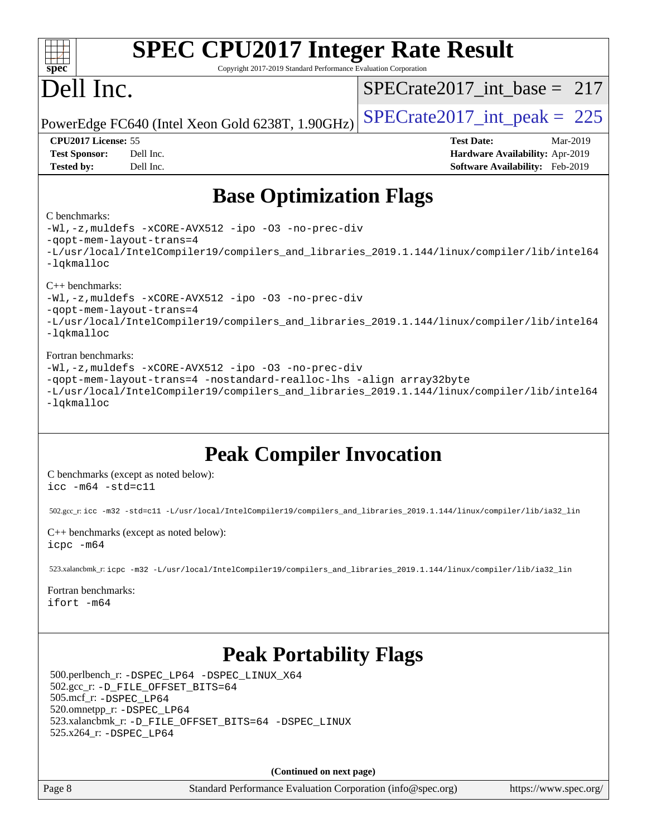| $\mathbf{spec}^*$                                                | <b>SPEC CPU2017 Integer Rate Result</b><br>Copyright 2017-2019 Standard Performance Evaluation Corporation                 |                                                                                                     |
|------------------------------------------------------------------|----------------------------------------------------------------------------------------------------------------------------|-----------------------------------------------------------------------------------------------------|
| Dell Inc.                                                        |                                                                                                                            | $SPECrate2017\_int\_base = 217$                                                                     |
|                                                                  | PowerEdge FC640 (Intel Xeon Gold 6238T, 1.90GHz)                                                                           | $SPECrate2017\_int\_peak = 225$                                                                     |
| CPU2017 License: 55<br><b>Test Sponsor:</b><br><b>Tested by:</b> | Dell Inc.<br>Dell Inc.                                                                                                     | <b>Test Date:</b><br>Mar-2019<br>Hardware Availability: Apr-2019<br>Software Availability: Feb-2019 |
| C benchmarks:                                                    | <b>Base Optimization Flags</b>                                                                                             |                                                                                                     |
| -qopt-mem-layout-trans=4<br>-lqkmalloc                           | -Wl,-z, muldefs -xCORE-AVX512 -ipo -03 -no-prec-div                                                                        | -L/usr/local/IntelCompiler19/compilers_and_libraries_2019.1.144/linux/compiler/lib/intel64          |
| $C_{++}$ benchmarks:<br>-gopt-mem-layout-trans=4<br>-lqkmalloc   | -Wl,-z, muldefs -xCORE-AVX512 -ipo -03 -no-prec-div                                                                        | -L/usr/local/IntelCompiler19/compilers_and_libraries_2019.1.144/linux/compiler/lib/intel64          |
| Fortran benchmarks:<br>-lqkmalloc                                | -Wl,-z, muldefs -xCORE-AVX512 -ipo -03 -no-prec-div<br>-qopt-mem-layout-trans=4 -nostandard-realloc-lhs -align array32byte | -L/usr/local/IntelCompiler19/compilers_and_libraries_2019.1.144/linux/compiler/lib/intel64          |
|                                                                  | <b>Peak Compiler Invocation</b>                                                                                            |                                                                                                     |
| $\text{icc}$ -m64 -std=c11                                       | C benchmarks (except as noted below):                                                                                      |                                                                                                     |
|                                                                  | 502.gcc_r: icc -m32 -std=c11 -L/usr/local/IntelCompiler19/compilers_and_libraries_2019.1.144/linux/compiler/lib/ia32_lin   |                                                                                                     |
| icpc -m64                                                        | $C++$ benchmarks (except as noted below):                                                                                  |                                                                                                     |
|                                                                  | 523.xalancbmk_r:icpc -m32 -L/usr/local/IntelCompiler19/compilers_and_libraries_2019.1.144/linux/compiler/lib/ia32_lin      |                                                                                                     |
| Fortran benchmarks:<br>ifort -m64                                |                                                                                                                            |                                                                                                     |
|                                                                  | <b>Peak Portability Flags</b><br>500.perlbench_r: -DSPEC_LP64 -DSPEC_LINUX_X64                                             |                                                                                                     |
|                                                                  | 502.gcc_r: -D_FILE_OFFSET_BITS=64                                                                                          |                                                                                                     |

 505.mcf\_r: [-DSPEC\\_LP64](http://www.spec.org/cpu2017/results/res2019q2/cpu2017-20190527-14526.flags.html#suite_peakPORTABILITY505_mcf_r_DSPEC_LP64) 520.omnetpp\_r: [-DSPEC\\_LP64](http://www.spec.org/cpu2017/results/res2019q2/cpu2017-20190527-14526.flags.html#suite_peakPORTABILITY520_omnetpp_r_DSPEC_LP64) 523.xalancbmk\_r: [-D\\_FILE\\_OFFSET\\_BITS=64](http://www.spec.org/cpu2017/results/res2019q2/cpu2017-20190527-14526.flags.html#user_peakPORTABILITY523_xalancbmk_r_file_offset_bits_64_5ae949a99b284ddf4e95728d47cb0843d81b2eb0e18bdfe74bbf0f61d0b064f4bda2f10ea5eb90e1dcab0e84dbc592acfc5018bc955c18609f94ddb8d550002c) [-DSPEC\\_LINUX](http://www.spec.org/cpu2017/results/res2019q2/cpu2017-20190527-14526.flags.html#b523.xalancbmk_r_peakCXXPORTABILITY_DSPEC_LINUX) 525.x264\_r: [-DSPEC\\_LP64](http://www.spec.org/cpu2017/results/res2019q2/cpu2017-20190527-14526.flags.html#suite_peakPORTABILITY525_x264_r_DSPEC_LP64)

**(Continued on next page)**

Page 8 Standard Performance Evaluation Corporation [\(info@spec.org\)](mailto:info@spec.org) <https://www.spec.org/>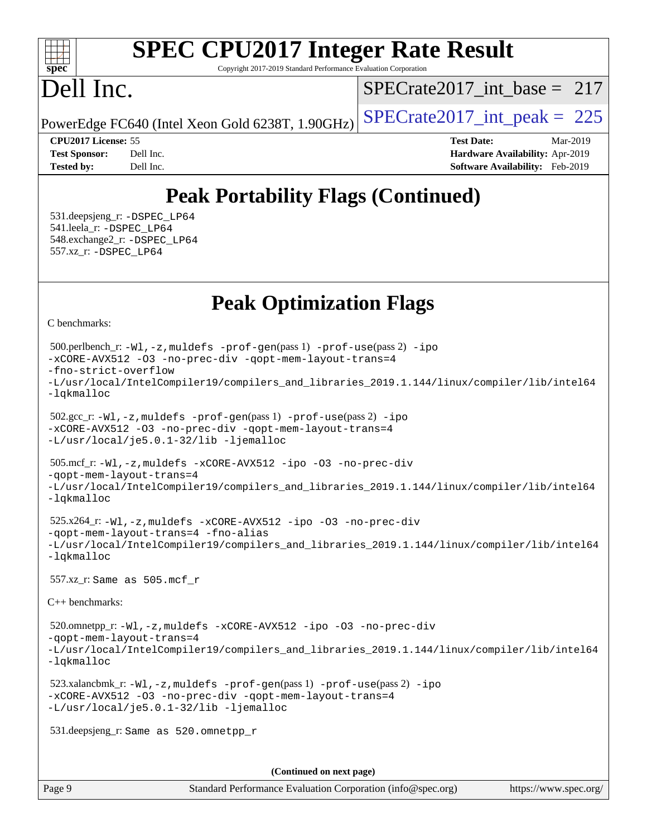#### $+\ +$ **[spec](http://www.spec.org/)**

# **[SPEC CPU2017 Integer Rate Result](http://www.spec.org/auto/cpu2017/Docs/result-fields.html#SPECCPU2017IntegerRateResult)**

Copyright 2017-2019 Standard Performance Evaluation Corporation

## Dell Inc.

[SPECrate2017\\_int\\_base =](http://www.spec.org/auto/cpu2017/Docs/result-fields.html#SPECrate2017intbase) 217

PowerEdge FC640 (Intel Xeon Gold 6238T, 1.90GHz)  $\left|$  [SPECrate2017\\_int\\_peak =](http://www.spec.org/auto/cpu2017/Docs/result-fields.html#SPECrate2017intpeak) 225

| <b>Test Sponsor:</b> | Dell Ind |
|----------------------|----------|
| <b>Tested by:</b>    | Dell In  |

**[CPU2017 License:](http://www.spec.org/auto/cpu2017/Docs/result-fields.html#CPU2017License)** 55 **[Test Date:](http://www.spec.org/auto/cpu2017/Docs/result-fields.html#TestDate)** Mar-2019 **[Test Sponsor:](http://www.spec.org/auto/cpu2017/Docs/result-fields.html#TestSponsor) [Hardware Availability:](http://www.spec.org/auto/cpu2017/Docs/result-fields.html#HardwareAvailability)** Apr-2019 **[Tested by:](http://www.spec.org/auto/cpu2017/Docs/result-fields.html#Testedby)** Delay **Tested by:** Delay **[Software Availability:](http://www.spec.org/auto/cpu2017/Docs/result-fields.html#SoftwareAvailability)** Feb-2019

## **[Peak Portability Flags \(Continued\)](http://www.spec.org/auto/cpu2017/Docs/result-fields.html#PeakPortabilityFlags)**

 531.deepsjeng\_r: [-DSPEC\\_LP64](http://www.spec.org/cpu2017/results/res2019q2/cpu2017-20190527-14526.flags.html#suite_peakPORTABILITY531_deepsjeng_r_DSPEC_LP64) 541.leela\_r: [-DSPEC\\_LP64](http://www.spec.org/cpu2017/results/res2019q2/cpu2017-20190527-14526.flags.html#suite_peakPORTABILITY541_leela_r_DSPEC_LP64) 548.exchange2\_r: [-DSPEC\\_LP64](http://www.spec.org/cpu2017/results/res2019q2/cpu2017-20190527-14526.flags.html#suite_peakPORTABILITY548_exchange2_r_DSPEC_LP64) 557.xz\_r: [-DSPEC\\_LP64](http://www.spec.org/cpu2017/results/res2019q2/cpu2017-20190527-14526.flags.html#suite_peakPORTABILITY557_xz_r_DSPEC_LP64)

## **[Peak Optimization Flags](http://www.spec.org/auto/cpu2017/Docs/result-fields.html#PeakOptimizationFlags)**

[C benchmarks](http://www.spec.org/auto/cpu2017/Docs/result-fields.html#Cbenchmarks):

```
(info@spec.org)https://www.spec.org/
  500.perlbench_r: -Wl,-z,muldefs -prof-gen(pass 1) -prof-use(pass 2) -ipo
-xCORE-AVX512 -O3 -no-prec-div -qopt-mem-layout-trans=4
-fno-strict-overflow
-L/usr/local/IntelCompiler19/compilers_and_libraries_2019.1.144/linux/compiler/lib/intel64
-lqkmalloc
  502.gcc_r: -Wl,-z,muldefs -prof-gen(pass 1) -prof-use(pass 2) -ipo
-xCORE-AVX512 -O3 -no-prec-div -qopt-mem-layout-trans=4
-L/usr/local/je5.0.1-32/lib -ljemalloc
  505.mcf_r: -Wl,-z,muldefs -xCORE-AVX512 -ipo -O3 -no-prec-div
-qopt-mem-layout-trans=4
-L/usr/local/IntelCompiler19/compilers_and_libraries_2019.1.144/linux/compiler/lib/intel64
-lqkmalloc
  525.x264_r: -Wl,-z,muldefs -xCORE-AVX512 -ipo -O3 -no-prec-div
-qopt-mem-layout-trans=4 -fno-alias
-L/usr/local/IntelCompiler19/compilers_and_libraries_2019.1.144/linux/compiler/lib/intel64
-lqkmalloc
  557.xz_r: Same as 505.mcf_r
C++ benchmarks: 
  520.omnetpp_r: -Wl,-z,muldefs -xCORE-AVX512 -ipo -O3 -no-prec-div
-qopt-mem-layout-trans=4
-L/usr/local/IntelCompiler19/compilers_and_libraries_2019.1.144/linux/compiler/lib/intel64
-lqkmalloc
  523.xalancbmk_r: -Wl,-z,muldefs -prof-gen(pass 1) -prof-use(pass 2) -ipo
-xCORE-AVX512 -O3 -no-prec-div -qopt-mem-layout-trans=4
-L/usr/local/je5.0.1-32/lib -ljemalloc
  531.deepsjeng_r: Same as 520.omnetpp_r
                                     (Continued on next page)
```